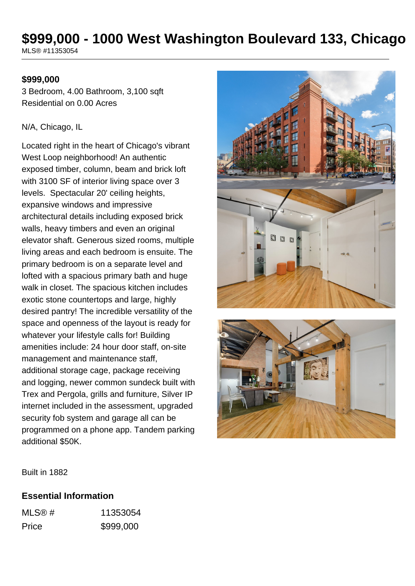# **\$999,000 - 1000 West Washington Boulevard 133, Chicago**

MLS® #11353054

## **\$999,000**

3 Bedroom, 4.00 Bathroom, 3,100 sqft Residential on 0.00 Acres

## N/A, Chicago, IL

Located right in the heart of Chicago's vibrant West Loop neighborhood! An authentic exposed timber, column, beam and brick loft with 3100 SF of interior living space over 3 levels. Spectacular 20' ceiling heights, expansive windows and impressive architectural details including exposed brick walls, heavy timbers and even an original elevator shaft. Generous sized rooms, multiple living areas and each bedroom is ensuite. The primary bedroom is on a separate level and lofted with a spacious primary bath and huge walk in closet. The spacious kitchen includes exotic stone countertops and large, highly desired pantry! The incredible versatility of the space and openness of the layout is ready for whatever your lifestyle calls for! Building amenities include: 24 hour door staff, on-site management and maintenance staff, additional storage cage, package receiving and logging, newer common sundeck built with Trex and Pergola, grills and furniture, Silver IP internet included in the assessment, upgraded security fob system and garage all can be programmed on a phone app. Tandem parking additional \$50K.





Built in 1882

## **Essential Information**

| MLS@# | 11353054  |
|-------|-----------|
| Price | \$999,000 |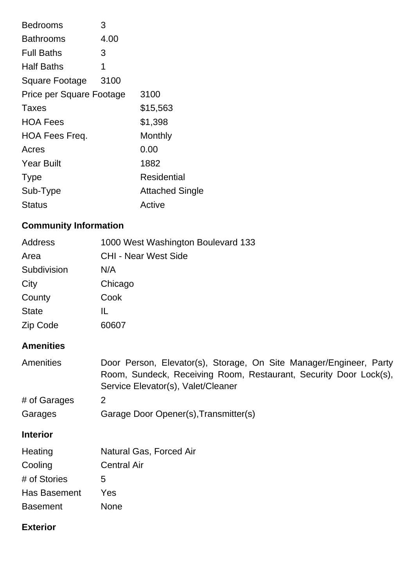| <b>Bedrooms</b>          | 3    |                        |
|--------------------------|------|------------------------|
| <b>Bathrooms</b>         | 4.00 |                        |
| <b>Full Baths</b>        | 3    |                        |
| <b>Half Baths</b>        | 1    |                        |
| Square Footage           | 3100 |                        |
| Price per Square Footage |      | 3100                   |
| Taxes                    |      | \$15,563               |
| <b>HOA Fees</b>          |      | \$1,398                |
| <b>HOA Fees Freq.</b>    |      | Monthly                |
| Acres                    |      | 0.00                   |
| <b>Year Built</b>        |      | 1882                   |
| <b>Type</b>              |      | Residential            |
| Sub-Type                 |      | <b>Attached Single</b> |
| Status                   |      | Active                 |
|                          |      |                        |

## **Community Information**

| <b>CHI - Near West Side</b><br>N/A<br>Chicago<br>Cook<br>IL.<br>60607<br>Door Person, Elevator(s), Storage, On Site Manager/Engineer, Party<br>Room, Sundeck, Receiving Room, Restaurant, Security Door Lock(s),<br>Service Elevator(s), Valet/Cleaner<br>$\overline{2}$<br>Garage Door Opener(s), Transmitter(s) | Address          | 1000 West Washington Boulevard 133 |
|-------------------------------------------------------------------------------------------------------------------------------------------------------------------------------------------------------------------------------------------------------------------------------------------------------------------|------------------|------------------------------------|
|                                                                                                                                                                                                                                                                                                                   | Area             |                                    |
|                                                                                                                                                                                                                                                                                                                   | Subdivision      |                                    |
|                                                                                                                                                                                                                                                                                                                   | City             |                                    |
|                                                                                                                                                                                                                                                                                                                   | County           |                                    |
|                                                                                                                                                                                                                                                                                                                   | <b>State</b>     |                                    |
|                                                                                                                                                                                                                                                                                                                   | Zip Code         |                                    |
|                                                                                                                                                                                                                                                                                                                   | <b>Amenities</b> |                                    |
|                                                                                                                                                                                                                                                                                                                   | <b>Amenities</b> |                                    |
|                                                                                                                                                                                                                                                                                                                   | # of Garages     |                                    |
|                                                                                                                                                                                                                                                                                                                   | Garages          |                                    |
|                                                                                                                                                                                                                                                                                                                   | <b>Interior</b>  |                                    |
|                                                                                                                                                                                                                                                                                                                   | Heating          | Natural Gas, Forced Air            |
| <b>Central Air</b>                                                                                                                                                                                                                                                                                                | Cooling          |                                    |
| 5                                                                                                                                                                                                                                                                                                                 | # of Stories     |                                    |
|                                                                                                                                                                                                                                                                                                                   | Has Basement     | Yes                                |
|                                                                                                                                                                                                                                                                                                                   | <b>Basement</b>  | <b>None</b>                        |
|                                                                                                                                                                                                                                                                                                                   |                  |                                    |

## **Exterior**